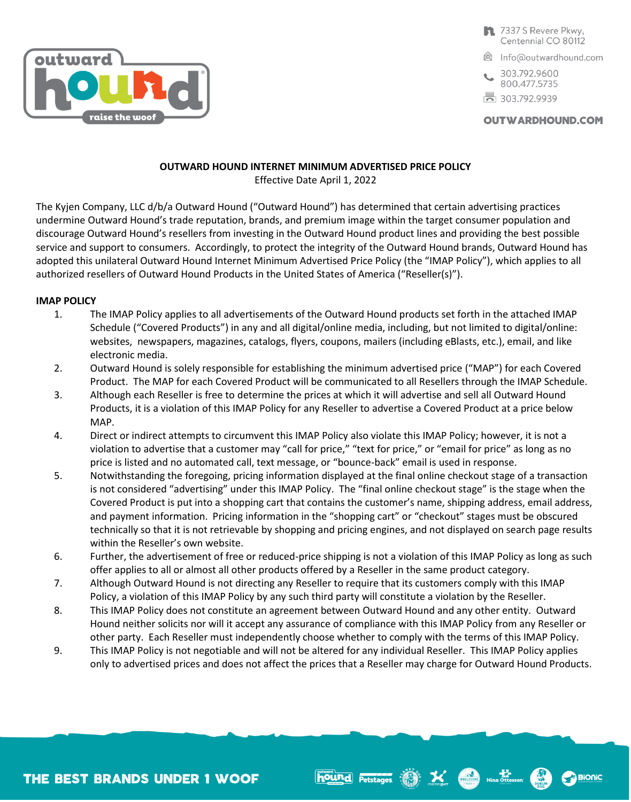

- 7337 S Revere Pkwy, Centennial CO 80112
- <sup>2</sup> Info@outwardhound.com
- 303.792.9600 800.477.5735
- 局 303.792.9939

WHOLESOME Ning Ottosson

**Bionic** 

**OUTWARDHOUND.COM** 

# **OUTWARD HOUND INTERNET MINIMUM ADVERTISED PRICE POLICY**

Effective Date April 1, 2022

The Kyjen Company, LLC d/b/a Outward Hound ("Outward Hound") has determined that certain advertising practices undermine Outward Hound's trade reputation, brands, and premium image within the target consumer population and discourage Outward Hound's resellers from investing in the Outward Hound product lines and providing the best possible service and support to consumers. Accordingly, to protect the integrity of the Outward Hound brands, Outward Hound has adopted this unilateral Outward Hound Internet Minimum Advertised Price Policy (the "IMAP Policy"), which applies to all authorized resellers of Outward Hound Products in the United States of America ("Reseller(s)").

## **IMAP POLICY**

- 1. The IMAP Policy applies to all advertisements of the Outward Hound products set forth in the attached IMAP Schedule ("Covered Products") in any and all digital/online media, including, but not limited to digital/online: websites, newspapers, magazines, catalogs, flyers, coupons, mailers (including eBlasts, etc.), email, and like electronic media.
- 2. Outward Hound is solely responsible for establishing the minimum advertised price ("MAP") for each Covered Product. The MAP for each Covered Product will be communicated to all Resellers through the IMAP Schedule.
- 3. Although each Reseller is free to determine the prices at which it will advertise and sell all Outward Hound Products, it is a violation of this IMAP Policy for any Reseller to advertise a Covered Product at a price below MAP.
- 4. Direct or indirect attempts to circumvent this IMAP Policy also violate this IMAP Policy; however, it is not a violation to advertise that a customer may "call for price," "text for price," or "email for price" as long as no price is listed and no automated call, text message, or "bounce-back" email is used in response.
- 5. Notwithstanding the foregoing, pricing information displayed at the final online checkout stage of a transaction is not considered "advertising" under this IMAP Policy. The "final online checkout stage" is the stage when the Covered Product is put into a shopping cart that contains the customer's name, shipping address, email address, and payment information. Pricing information in the "shopping cart" or "checkout" stages must be obscured technically so that it is not retrievable by shopping and pricing engines, and not displayed on search page results within the Reseller's own website.
- 6. Further, the advertisement of free or reduced-price shipping is not a violation of this IMAP Policy as long as such offer applies to all or almost all other products offered by a Reseller in the same product category.
- 7. Although Outward Hound is not directing any Reseller to require that its customers comply with this IMAP Policy, a violation of this IMAP Policy by any such third party will constitute a violation by the Reseller.
- 8. This IMAP Policy does not constitute an agreement between Outward Hound and any other entity. Outward Hound neither solicits nor will it accept any assurance of compliance with this IMAP Policy from any Reseller or other party. Each Reseller must independently choose whether to comply with the terms of this IMAP Policy.
- 9. This IMAP Policy is not negotiable and will not be altered for any individual Reseller. This IMAP Policy applies only to advertised prices and does not affect the prices that a Reseller may charge for Outward Hound Products.

hound Petstages (19)